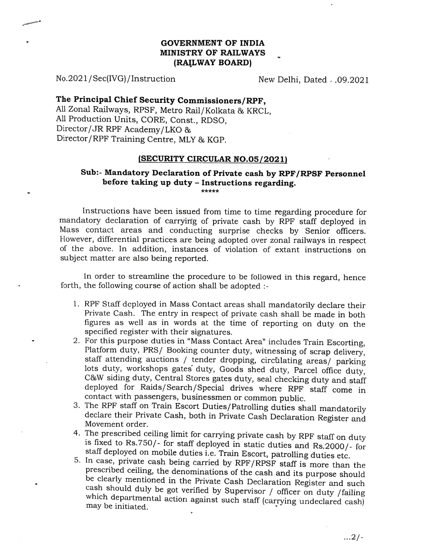## GOVERNMENT OF INDIA MINISTRY OF RAILWAYS (RAILWAY BOARD)

No.2021/Sec(IVG) /Instruction New Delhi, Dated . 09.2021

## The Principal Chief Security Commissioners/RPF,

All Zonal Railways, RPSF, Metro Rail/Kolkata & KRCL, All Production Units, CORE, Const., RDSO, Director/JR RPF Academy/LKO & Director/RPF Training Centre, MLY & KGP.

## (SECURITY CIRCULAR NO.05/2021)

## Sub:- Mandatory Declaration of Private cash by RPF/RPSF Personnel before taking up duty - Instructions regarding.

Instrucions have been issued from time to time regarding procedure for mandatory declaration of carrying of private cash by RPF staff deployed in Mass contact areas and conducting surprise checks by Senior officers. However, differential practices are being adopted over zonal railways in respect of the above. In addition, instances of violation of extant instructions on subject matter are also being reported.

In order to streamline the procedure to be followed in this regard, hence forth, the following course of action shall be adopted

- 1. RPF Staff deployed in Mass Contact areas shall mandatorily declare their Private Cash. The entry in respect of private cash shall be made in both figures as well as in words at the time of reporting on duty on the specified register with their signatures.<br>2. For this purpose duties in "Mass Contact Area" includes Train Escorting,
- Platform duty, PRS/ Booking counter duty, witnessing of scrap delivery, staff attending auctions / tender dropping, circulating areas/ parking lots duty, workshops gates duty, Goods shed duty, Parcel office duty, C&W sidin deployed for Raids/Search/Special drives where RPF staff come in
- 3. The RPF staff on Train Escort Duties/Patrolling duties shall mandatorily declare their Private Cash, both in Private Cash Declaration Register and
- Movement order.<br>4. The prescribed ceiling limit for carrying private cash by RPF staff on duty
- is fixed to Rs.750/- for staff deployed in static duties and Rs.2000/- for staff deployed on mobile duties i.e. Train Escort, patrolling duties etc.<br>5. In case, private cash being carried by RPF/RPSF staff is more than the be clearly mentioned in the Private Cash Declaration Register and such cash should duly be got verified by Supervisor / officer on duty /failing which cash should duly be got verified by Supervisor / officer on duty /failing<br>which departmental action against such staff (carrying undeclared cash)<br>may be initiated.